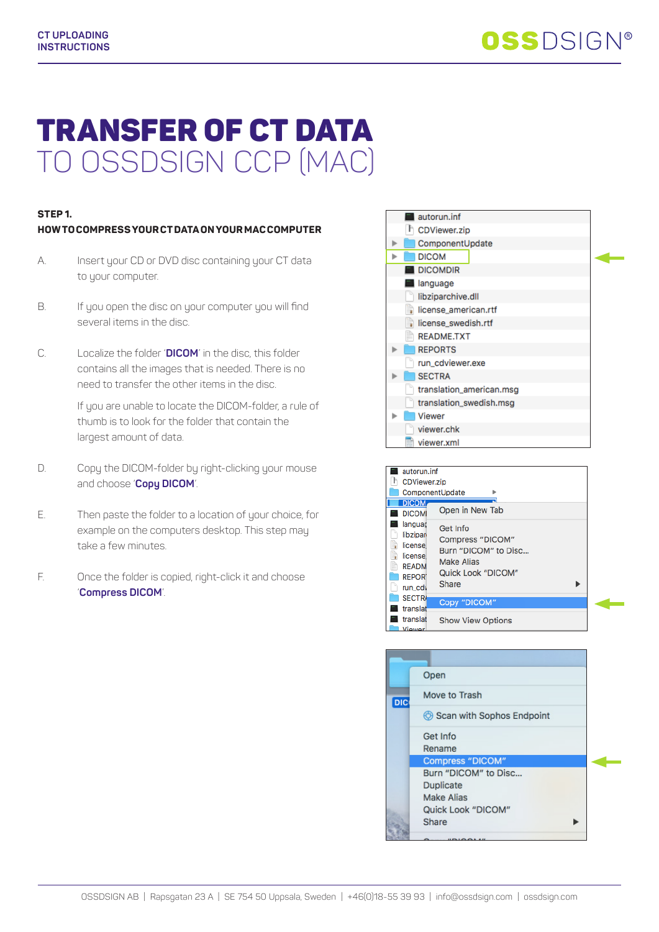# TRANSFER OF CT DATA TO OSSDSIGN CCP (MAC)

## **STEP 1.**

### **HOW TO COMPRESS YOUR CT DATA ON YOUR MAC COMPUTER**

- A. Insert your CD or DVD disc containing your CT data to your computer.
- B. If you open the disc on your computer you will find several items in the disc.
- C. Localize the folder '**DICOM**' in the disc, this folder contains all the images that is needed. There is no need to transfer the other items in the disc.

If you are unable to locate the DICOM-folder, a rule of thumb is to look for the folder that contain the largest amount of data.

- D. Copy the DICOM-folder by right-clicking your mouse and choose '**Copy DICOM**'.
- E. Then paste the folder to a location of your choice, for example on the computers desktop. This step may take a few minutes.
- F. Once the folder is copied, right-click it and choose '**Compress DICOM**'.



| autorun.inf<br><b>CDViewer.zip</b>                                                    | ComponentUpdate                                                                                   |  |
|---------------------------------------------------------------------------------------|---------------------------------------------------------------------------------------------------|--|
| <b>DICOM</b><br><b>DICOMI</b>                                                         | Open in New Tab                                                                                   |  |
| languaç<br>libzipar<br>license<br>license<br><b>READM</b><br><b>REPORT</b><br>run cdy | Get Info<br>Compress "DICOM"<br>Burn "DICOM" to Disc<br>Make Alias<br>Quick Look "DICOM"<br>Share |  |
| <b>SECTRA</b><br>translat                                                             | Copy "DICOM"                                                                                      |  |
| translat<br><b><i><u>Viewer</u></i></b>                                               | <b>Show View Options</b>                                                                          |  |

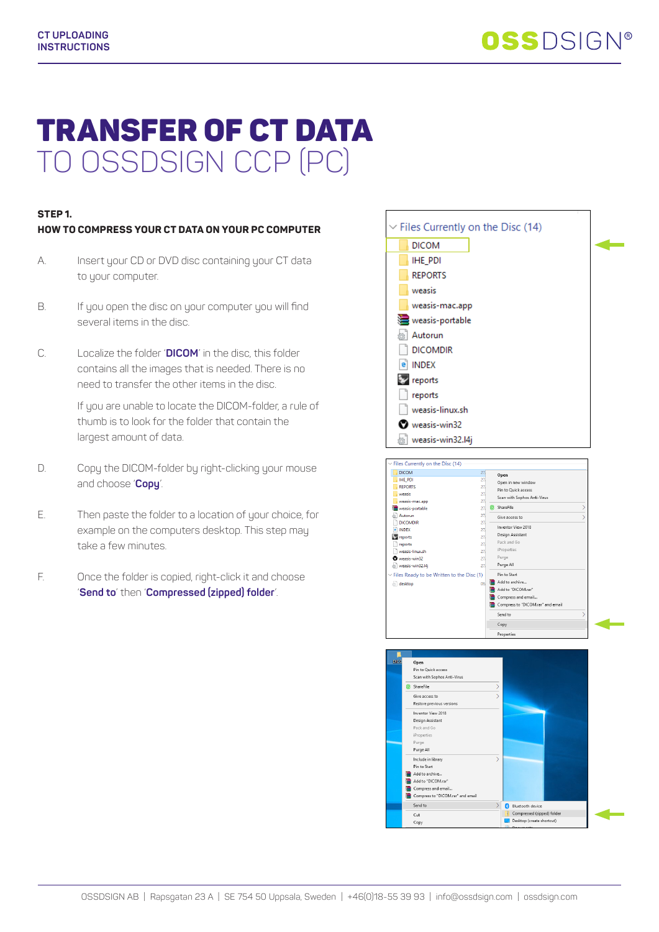# TRANSFER OF CT DATA TRANSFER OF CT DATA TO OSSDSIGN CCP (PC) TO OSSDSIGN CCP (PC)

## **STEP 1.**

## **HOW TO COMPRESS YOUR CT DATA ON YOUR PC COMPUTER STEP 1. HOW TO COMPRESS YOUR CT DATA ON YOUR PC COMPUTER**

- A. Insert your CD or DVD disc containing your CT data to your computer.
- B. If you open the disc on your computer you will find several items in the disc.
- C. Localize the folder '**DICOM**' in the disc, this folder contains all the images that is needed. There is no need to transfer the other items in the disc.

If you are unable to locate the DICOM-folder, a rule of thumb is to look for the folder that contain the largest amount of data.

- D. Copy the DICOM-folder by right-clicking your mouse and choose '**Copy**'.
- E. Then paste the folder to a location of your choice, for example on the computers desktop. This step may take a few minutes. A. Insert your CD or DVD disc containing your CT data<br>to your computer.<br>B. If you open the disc on your computer you will find<br>several items in the disc.<br>C. Localize the folder 'DICOM' in the disc, this folder<br>contains all
- F. Once the folder is copied, right-click it and choose '**Send to**' then '**Compressed (zipped) folder**'.



ß

 $\left|\frac{1}{2}\right|$  Bluetooth device Compressed (zipped) folder<br>
Desktop (create shortcut)

Design Assistant Pack and Go iProperties Purge All Include in library

Pin to Start Add to archive. Add to "DICOM.ran Compress and email...<br>Compress to "DICOM.rar" and email

Send to

Cut Cop